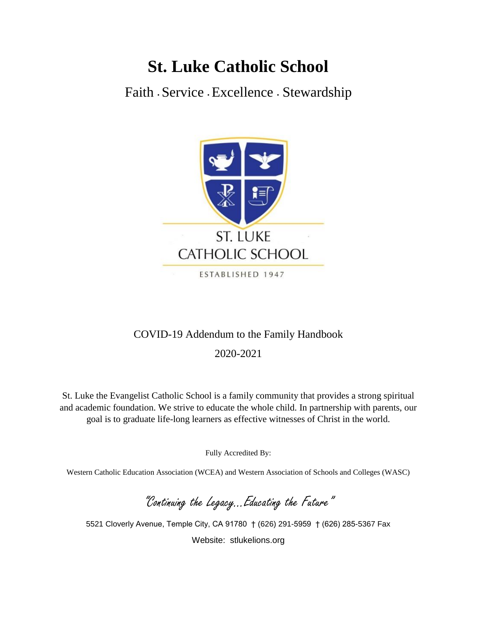# **St. Luke Catholic School**

Faith **<sup>∙</sup>** Service **<sup>∙</sup>** Excellence **<sup>∙</sup>** Stewardship



# COVID-19 Addendum to the Family Handbook

2020-2021

St. Luke the Evangelist Catholic School is a family community that provides a strong spiritual and academic foundation. We strive to educate the whole child. In partnership with parents, our goal is to graduate life-long learners as effective witnesses of Christ in the world.

Fully Accredited By:

Western Catholic Education Association (WCEA) and Western Association of Schools and Colleges (WASC)

"Continuing the Legacy…Educating the Future"

5521 Cloverly Avenue, Temple City, CA 91780 † (626) 291-5959 † (626) 285-5367 Fax Website: stlukelions.org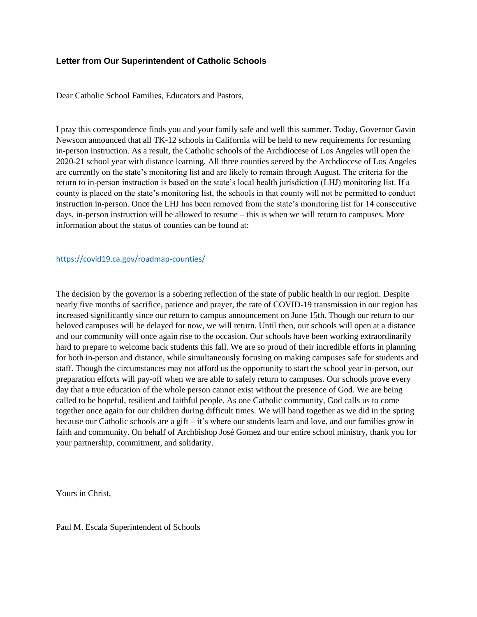#### **Letter from Our Superintendent of Catholic Schools**

Dear Catholic School Families, Educators and Pastors,

I pray this correspondence finds you and your family safe and well this summer. Today, Governor Gavin Newsom announced that all TK-12 schools in California will be held to new requirements for resuming in-person instruction. As a result, the Catholic schools of the Archdiocese of Los Angeles will open the 2020-21 school year with distance learning. All three counties served by the Archdiocese of Los Angeles are currently on the state's monitoring list and are likely to remain through August. The criteria for the return to in-person instruction is based on the state's local health jurisdiction (LHJ) monitoring list. If a county is placed on the state's monitoring list, the schools in that county will not be permitted to conduct instruction in-person. Once the LHJ has been removed from the state's monitoring list for 14 consecutive days, in-person instruction will be allowed to resume – this is when we will return to campuses. More information about the status of counties can be found at:

#### <https://covid19.ca.gov/roadmap-counties/>

The decision by the governor is a sobering reflection of the state of public health in our region. Despite nearly five months of sacrifice, patience and prayer, the rate of COVID-19 transmission in our region has increased significantly since our return to campus announcement on June 15th. Though our return to our beloved campuses will be delayed for now, we will return. Until then, our schools will open at a distance and our community will once again rise to the occasion. Our schools have been working extraordinarily hard to prepare to welcome back students this fall. We are so proud of their incredible efforts in planning for both in-person and distance, while simultaneously focusing on making campuses safe for students and staff. Though the circumstances may not afford us the opportunity to start the school year in-person, our preparation efforts will pay-off when we are able to safely return to campuses. Our schools prove every day that a true education of the whole person cannot exist without the presence of God. We are being called to be hopeful, resilient and faithful people. As one Catholic community, God calls us to come together once again for our children during difficult times. We will band together as we did in the spring because our Catholic schools are a gift – it's where our students learn and love, and our families grow in faith and community. On behalf of Archbishop José Gomez and our entire school ministry, thank you for your partnership, commitment, and solidarity.

Yours in Christ,

Paul M. Escala Superintendent of Schools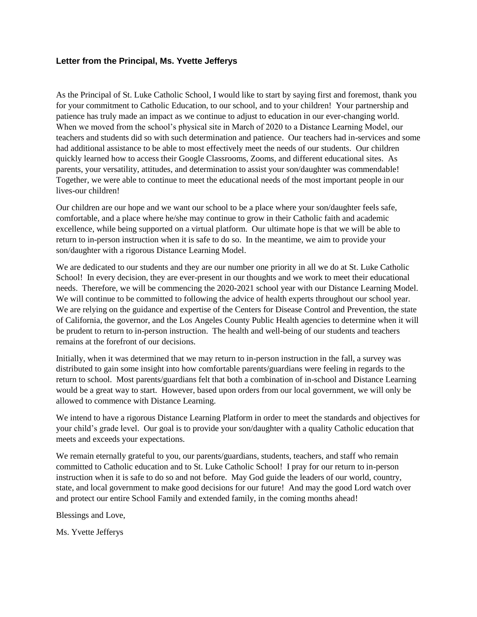#### **Letter from the Principal, Ms. Yvette Jefferys**

As the Principal of St. Luke Catholic School, I would like to start by saying first and foremost, thank you for your commitment to Catholic Education, to our school, and to your children! Your partnership and patience has truly made an impact as we continue to adjust to education in our ever-changing world. When we moved from the school's physical site in March of 2020 to a Distance Learning Model, our teachers and students did so with such determination and patience. Our teachers had in-services and some had additional assistance to be able to most effectively meet the needs of our students. Our children quickly learned how to access their Google Classrooms, Zooms, and different educational sites. As parents, your versatility, attitudes, and determination to assist your son/daughter was commendable! Together, we were able to continue to meet the educational needs of the most important people in our lives-our children!

Our children are our hope and we want our school to be a place where your son/daughter feels safe, comfortable, and a place where he/she may continue to grow in their Catholic faith and academic excellence, while being supported on a virtual platform. Our ultimate hope is that we will be able to return to in-person instruction when it is safe to do so. In the meantime, we aim to provide your son/daughter with a rigorous Distance Learning Model.

We are dedicated to our students and they are our number one priority in all we do at St. Luke Catholic School! In every decision, they are ever-present in our thoughts and we work to meet their educational needs. Therefore, we will be commencing the 2020-2021 school year with our Distance Learning Model. We will continue to be committed to following the advice of health experts throughout our school year. We are relying on the guidance and expertise of the Centers for Disease Control and Prevention, the state of California, the governor, and the Los Angeles County Public Health agencies to determine when it will be prudent to return to in-person instruction. The health and well-being of our students and teachers remains at the forefront of our decisions.

Initially, when it was determined that we may return to in-person instruction in the fall, a survey was distributed to gain some insight into how comfortable parents/guardians were feeling in regards to the return to school. Most parents/guardians felt that both a combination of in-school and Distance Learning would be a great way to start. However, based upon orders from our local government, we will only be allowed to commence with Distance Learning.

We intend to have a rigorous Distance Learning Platform in order to meet the standards and objectives for your child's grade level. Our goal is to provide your son/daughter with a quality Catholic education that meets and exceeds your expectations.

We remain eternally grateful to you, our parents/guardians, students, teachers, and staff who remain committed to Catholic education and to St. Luke Catholic School! I pray for our return to in-person instruction when it is safe to do so and not before. May God guide the leaders of our world, country, state, and local government to make good decisions for our future! And may the good Lord watch over and protect our entire School Family and extended family, in the coming months ahead!

Blessings and Love,

Ms. Yvette Jefferys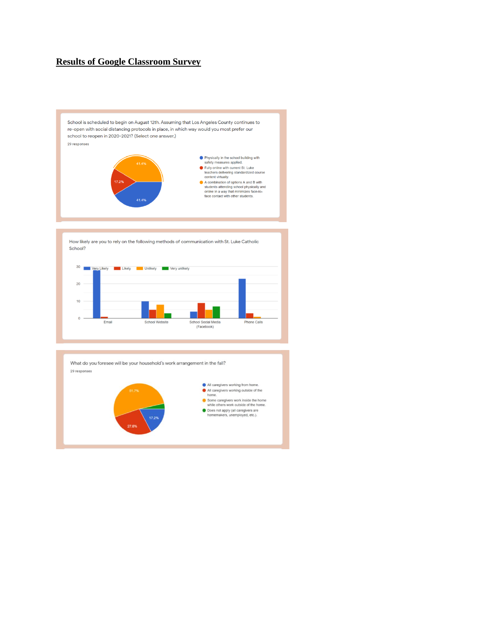# **Results of Google Classroom Survey**

School is scheduled to begin on August 12th. Assuming that Los Angeles County continues to re-open with social distancing protocols in place, in which way would you most prefer our school to reopen in 2020-2021? (Select one answer.)



How likely are you to rely on the following methods of communication with St. Luke Catholic School?



What do you foresee will be your household's work arrangement in the fall? 29 responses

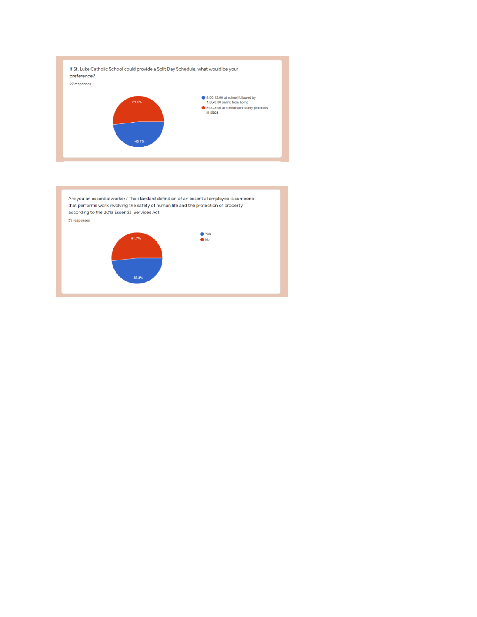

Are you an essential worker? The standard definition of an essential employee is someone that performs work involving the safety of human life and the protection of property, according to the 2013 Essential Services Act. 29 responses

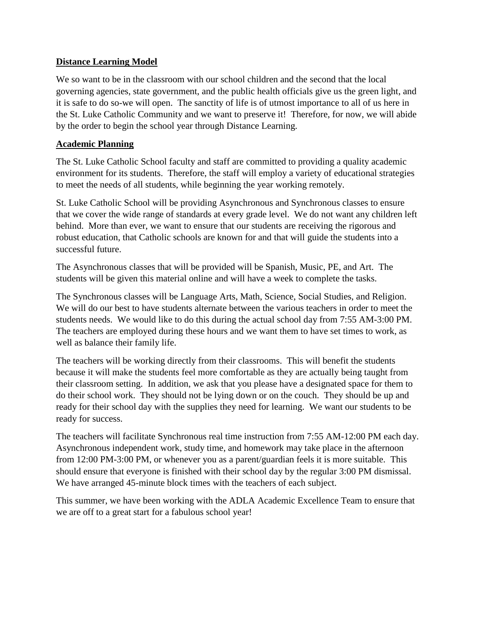# **Distance Learning Model**

We so want to be in the classroom with our school children and the second that the local governing agencies, state government, and the public health officials give us the green light, and it is safe to do so-we will open. The sanctity of life is of utmost importance to all of us here in the St. Luke Catholic Community and we want to preserve it! Therefore, for now, we will abide by the order to begin the school year through Distance Learning.

# **Academic Planning**

The St. Luke Catholic School faculty and staff are committed to providing a quality academic environment for its students. Therefore, the staff will employ a variety of educational strategies to meet the needs of all students, while beginning the year working remotely.

St. Luke Catholic School will be providing Asynchronous and Synchronous classes to ensure that we cover the wide range of standards at every grade level. We do not want any children left behind. More than ever, we want to ensure that our students are receiving the rigorous and robust education, that Catholic schools are known for and that will guide the students into a successful future.

The Asynchronous classes that will be provided will be Spanish, Music, PE, and Art. The students will be given this material online and will have a week to complete the tasks.

The Synchronous classes will be Language Arts, Math, Science, Social Studies, and Religion. We will do our best to have students alternate between the various teachers in order to meet the students needs. We would like to do this during the actual school day from 7:55 AM-3:00 PM. The teachers are employed during these hours and we want them to have set times to work, as well as balance their family life.

The teachers will be working directly from their classrooms. This will benefit the students because it will make the students feel more comfortable as they are actually being taught from their classroom setting. In addition, we ask that you please have a designated space for them to do their school work. They should not be lying down or on the couch. They should be up and ready for their school day with the supplies they need for learning. We want our students to be ready for success.

The teachers will facilitate Synchronous real time instruction from 7:55 AM-12:00 PM each day. Asynchronous independent work, study time, and homework may take place in the afternoon from 12:00 PM-3:00 PM, or whenever you as a parent/guardian feels it is more suitable. This should ensure that everyone is finished with their school day by the regular 3:00 PM dismissal. We have arranged 45-minute block times with the teachers of each subject.

This summer, we have been working with the ADLA Academic Excellence Team to ensure that we are off to a great start for a fabulous school year!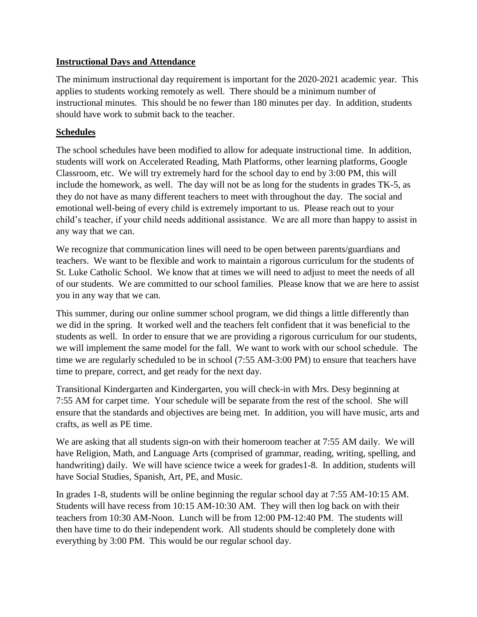## **Instructional Days and Attendance**

The minimum instructional day requirement is important for the 2020-2021 academic year. This applies to students working remotely as well. There should be a minimum number of instructional minutes. This should be no fewer than 180 minutes per day. In addition, students should have work to submit back to the teacher.

# **Schedules**

The school schedules have been modified to allow for adequate instructional time. In addition, students will work on Accelerated Reading, Math Platforms, other learning platforms, Google Classroom, etc. We will try extremely hard for the school day to end by 3:00 PM, this will include the homework, as well. The day will not be as long for the students in grades TK-5, as they do not have as many different teachers to meet with throughout the day. The social and emotional well-being of every child is extremely important to us. Please reach out to your child's teacher, if your child needs additional assistance. We are all more than happy to assist in any way that we can.

We recognize that communication lines will need to be open between parents/guardians and teachers. We want to be flexible and work to maintain a rigorous curriculum for the students of St. Luke Catholic School. We know that at times we will need to adjust to meet the needs of all of our students. We are committed to our school families. Please know that we are here to assist you in any way that we can.

This summer, during our online summer school program, we did things a little differently than we did in the spring. It worked well and the teachers felt confident that it was beneficial to the students as well. In order to ensure that we are providing a rigorous curriculum for our students, we will implement the same model for the fall. We want to work with our school schedule. The time we are regularly scheduled to be in school (7:55 AM-3:00 PM) to ensure that teachers have time to prepare, correct, and get ready for the next day.

Transitional Kindergarten and Kindergarten, you will check-in with Mrs. Desy beginning at 7:55 AM for carpet time. Your schedule will be separate from the rest of the school. She will ensure that the standards and objectives are being met. In addition, you will have music, arts and crafts, as well as PE time.

We are asking that all students sign-on with their homeroom teacher at 7:55 AM daily. We will have Religion, Math, and Language Arts (comprised of grammar, reading, writing, spelling, and handwriting) daily. We will have science twice a week for grades1-8. In addition, students will have Social Studies, Spanish, Art, PE, and Music.

In grades 1-8, students will be online beginning the regular school day at 7:55 AM-10:15 AM. Students will have recess from 10:15 AM-10:30 AM. They will then log back on with their teachers from 10:30 AM-Noon. Lunch will be from 12:00 PM-12:40 PM. The students will then have time to do their independent work. All students should be completely done with everything by 3:00 PM. This would be our regular school day.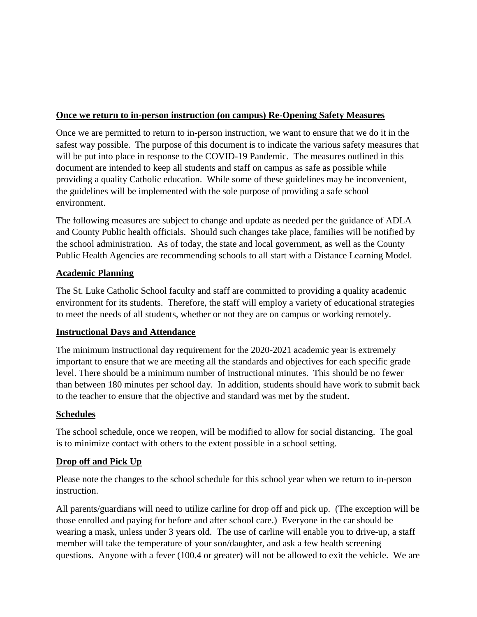# **Once we return to in-person instruction (on campus) Re-Opening Safety Measures**

Once we are permitted to return to in-person instruction, we want to ensure that we do it in the safest way possible. The purpose of this document is to indicate the various safety measures that will be put into place in response to the COVID-19 Pandemic. The measures outlined in this document are intended to keep all students and staff on campus as safe as possible while providing a quality Catholic education. While some of these guidelines may be inconvenient, the guidelines will be implemented with the sole purpose of providing a safe school environment.

The following measures are subject to change and update as needed per the guidance of ADLA and County Public health officials. Should such changes take place, families will be notified by the school administration. As of today, the state and local government, as well as the County Public Health Agencies are recommending schools to all start with a Distance Learning Model.

# **Academic Planning**

The St. Luke Catholic School faculty and staff are committed to providing a quality academic environment for its students. Therefore, the staff will employ a variety of educational strategies to meet the needs of all students, whether or not they are on campus or working remotely.

## **Instructional Days and Attendance**

The minimum instructional day requirement for the 2020-2021 academic year is extremely important to ensure that we are meeting all the standards and objectives for each specific grade level. There should be a minimum number of instructional minutes. This should be no fewer than between 180 minutes per school day. In addition, students should have work to submit back to the teacher to ensure that the objective and standard was met by the student.

## **Schedules**

The school schedule, once we reopen, will be modified to allow for social distancing. The goal is to minimize contact with others to the extent possible in a school setting.

## **Drop off and Pick Up**

Please note the changes to the school schedule for this school year when we return to in-person instruction.

All parents/guardians will need to utilize carline for drop off and pick up. (The exception will be those enrolled and paying for before and after school care.) Everyone in the car should be wearing a mask, unless under 3 years old. The use of carline will enable you to drive-up, a staff member will take the temperature of your son/daughter, and ask a few health screening questions. Anyone with a fever (100.4 or greater) will not be allowed to exit the vehicle. We are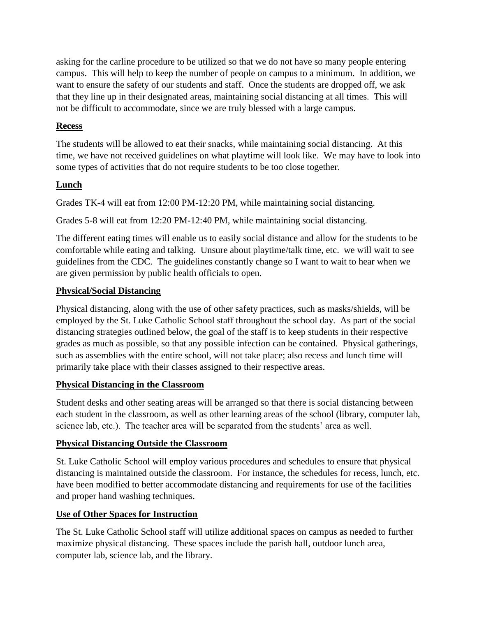asking for the carline procedure to be utilized so that we do not have so many people entering campus. This will help to keep the number of people on campus to a minimum. In addition, we want to ensure the safety of our students and staff. Once the students are dropped off, we ask that they line up in their designated areas, maintaining social distancing at all times. This will not be difficult to accommodate, since we are truly blessed with a large campus.

# **Recess**

The students will be allowed to eat their snacks, while maintaining social distancing. At this time, we have not received guidelines on what playtime will look like. We may have to look into some types of activities that do not require students to be too close together.

# **Lunch**

Grades TK-4 will eat from 12:00 PM-12:20 PM, while maintaining social distancing.

Grades 5-8 will eat from 12:20 PM-12:40 PM, while maintaining social distancing.

The different eating times will enable us to easily social distance and allow for the students to be comfortable while eating and talking. Unsure about playtime/talk time, etc. we will wait to see guidelines from the CDC. The guidelines constantly change so I want to wait to hear when we are given permission by public health officials to open.

# **Physical/Social Distancing**

Physical distancing, along with the use of other safety practices, such as masks/shields, will be employed by the St. Luke Catholic School staff throughout the school day. As part of the social distancing strategies outlined below, the goal of the staff is to keep students in their respective grades as much as possible, so that any possible infection can be contained. Physical gatherings, such as assemblies with the entire school, will not take place; also recess and lunch time will primarily take place with their classes assigned to their respective areas.

# **Physical Distancing in the Classroom**

Student desks and other seating areas will be arranged so that there is social distancing between each student in the classroom, as well as other learning areas of the school (library, computer lab, science lab, etc.). The teacher area will be separated from the students' area as well.

# **Physical Distancing Outside the Classroom**

St. Luke Catholic School will employ various procedures and schedules to ensure that physical distancing is maintained outside the classroom. For instance, the schedules for recess, lunch, etc. have been modified to better accommodate distancing and requirements for use of the facilities and proper hand washing techniques.

# **Use of Other Spaces for Instruction**

The St. Luke Catholic School staff will utilize additional spaces on campus as needed to further maximize physical distancing. These spaces include the parish hall, outdoor lunch area, computer lab, science lab, and the library.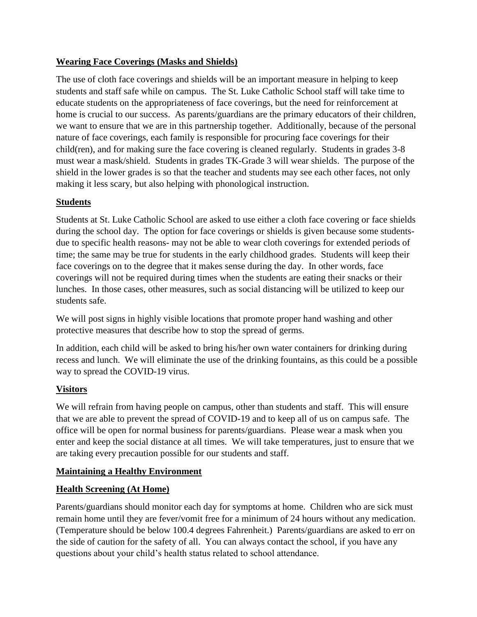# **Wearing Face Coverings (Masks and Shields)**

The use of cloth face coverings and shields will be an important measure in helping to keep students and staff safe while on campus. The St. Luke Catholic School staff will take time to educate students on the appropriateness of face coverings, but the need for reinforcement at home is crucial to our success. As parents/guardians are the primary educators of their children, we want to ensure that we are in this partnership together. Additionally, because of the personal nature of face coverings, each family is responsible for procuring face coverings for their child(ren), and for making sure the face covering is cleaned regularly. Students in grades 3-8 must wear a mask/shield. Students in grades TK-Grade 3 will wear shields. The purpose of the shield in the lower grades is so that the teacher and students may see each other faces, not only making it less scary, but also helping with phonological instruction.

# **Students**

Students at St. Luke Catholic School are asked to use either a cloth face covering or face shields during the school day. The option for face coverings or shields is given because some studentsdue to specific health reasons- may not be able to wear cloth coverings for extended periods of time; the same may be true for students in the early childhood grades. Students will keep their face coverings on to the degree that it makes sense during the day. In other words, face coverings will not be required during times when the students are eating their snacks or their lunches. In those cases, other measures, such as social distancing will be utilized to keep our students safe.

We will post signs in highly visible locations that promote proper hand washing and other protective measures that describe how to stop the spread of germs.

In addition, each child will be asked to bring his/her own water containers for drinking during recess and lunch. We will eliminate the use of the drinking fountains, as this could be a possible way to spread the COVID-19 virus.

# **Visitors**

We will refrain from having people on campus, other than students and staff. This will ensure that we are able to prevent the spread of COVID-19 and to keep all of us on campus safe. The office will be open for normal business for parents/guardians. Please wear a mask when you enter and keep the social distance at all times. We will take temperatures, just to ensure that we are taking every precaution possible for our students and staff.

## **Maintaining a Healthy Environment**

## **Health Screening (At Home)**

Parents/guardians should monitor each day for symptoms at home. Children who are sick must remain home until they are fever/vomit free for a minimum of 24 hours without any medication. (Temperature should be below 100.4 degrees Fahrenheit.) Parents/guardians are asked to err on the side of caution for the safety of all. You can always contact the school, if you have any questions about your child's health status related to school attendance.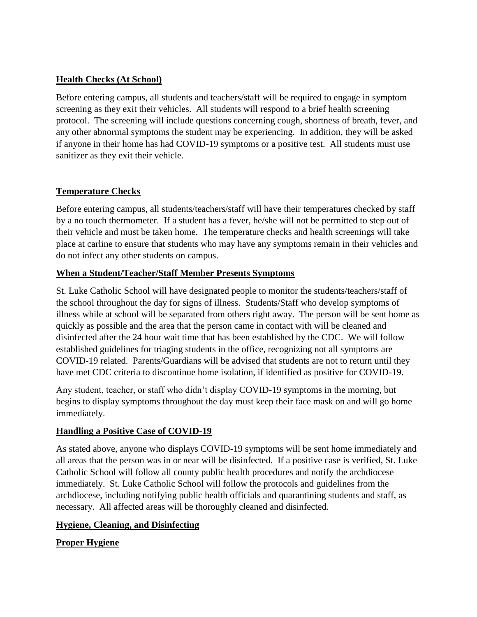# **Health Checks (At School)**

Before entering campus, all students and teachers/staff will be required to engage in symptom screening as they exit their vehicles. All students will respond to a brief health screening protocol. The screening will include questions concerning cough, shortness of breath, fever, and any other abnormal symptoms the student may be experiencing. In addition, they will be asked if anyone in their home has had COVID-19 symptoms or a positive test. All students must use sanitizer as they exit their vehicle.

# **Temperature Checks**

Before entering campus, all students/teachers/staff will have their temperatures checked by staff by a no touch thermometer. If a student has a fever, he/she will not be permitted to step out of their vehicle and must be taken home. The temperature checks and health screenings will take place at carline to ensure that students who may have any symptoms remain in their vehicles and do not infect any other students on campus.

# **When a Student/Teacher/Staff Member Presents Symptoms**

St. Luke Catholic School will have designated people to monitor the students/teachers/staff of the school throughout the day for signs of illness. Students/Staff who develop symptoms of illness while at school will be separated from others right away. The person will be sent home as quickly as possible and the area that the person came in contact with will be cleaned and disinfected after the 24 hour wait time that has been established by the CDC. We will follow established guidelines for triaging students in the office, recognizing not all symptoms are COVID-19 related. Parents/Guardians will be advised that students are not to return until they have met CDC criteria to discontinue home isolation, if identified as positive for COVID-19.

Any student, teacher, or staff who didn't display COVID-19 symptoms in the morning, but begins to display symptoms throughout the day must keep their face mask on and will go home immediately.

## **Handling a Positive Case of COVID-19**

As stated above, anyone who displays COVID-19 symptoms will be sent home immediately and all areas that the person was in or near will be disinfected. If a positive case is verified, St. Luke Catholic School will follow all county public health procedures and notify the archdiocese immediately. St. Luke Catholic School will follow the protocols and guidelines from the archdiocese, including notifying public health officials and quarantining students and staff, as necessary. All affected areas will be thoroughly cleaned and disinfected.

## **Hygiene, Cleaning, and Disinfecting**

**Proper Hygiene**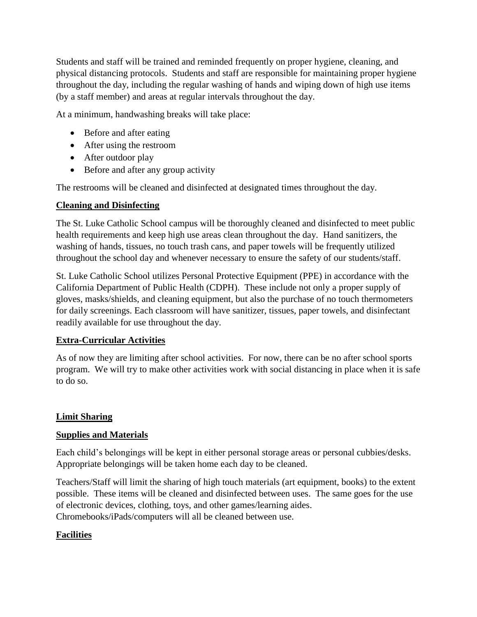Students and staff will be trained and reminded frequently on proper hygiene, cleaning, and physical distancing protocols. Students and staff are responsible for maintaining proper hygiene throughout the day, including the regular washing of hands and wiping down of high use items (by a staff member) and areas at regular intervals throughout the day.

At a minimum, handwashing breaks will take place:

- Before and after eating
- After using the restroom
- After outdoor play
- Before and after any group activity

The restrooms will be cleaned and disinfected at designated times throughout the day.

#### **Cleaning and Disinfecting**

The St. Luke Catholic School campus will be thoroughly cleaned and disinfected to meet public health requirements and keep high use areas clean throughout the day. Hand sanitizers, the washing of hands, tissues, no touch trash cans, and paper towels will be frequently utilized throughout the school day and whenever necessary to ensure the safety of our students/staff.

St. Luke Catholic School utilizes Personal Protective Equipment (PPE) in accordance with the California Department of Public Health (CDPH). These include not only a proper supply of gloves, masks/shields, and cleaning equipment, but also the purchase of no touch thermometers for daily screenings. Each classroom will have sanitizer, tissues, paper towels, and disinfectant readily available for use throughout the day.

## **Extra-Curricular Activities**

As of now they are limiting after school activities. For now, there can be no after school sports program. We will try to make other activities work with social distancing in place when it is safe to do so.

## **Limit Sharing**

## **Supplies and Materials**

Each child's belongings will be kept in either personal storage areas or personal cubbies/desks. Appropriate belongings will be taken home each day to be cleaned.

Teachers/Staff will limit the sharing of high touch materials (art equipment, books) to the extent possible. These items will be cleaned and disinfected between uses. The same goes for the use of electronic devices, clothing, toys, and other games/learning aides. Chromebooks/iPads/computers will all be cleaned between use.

## **Facilities**